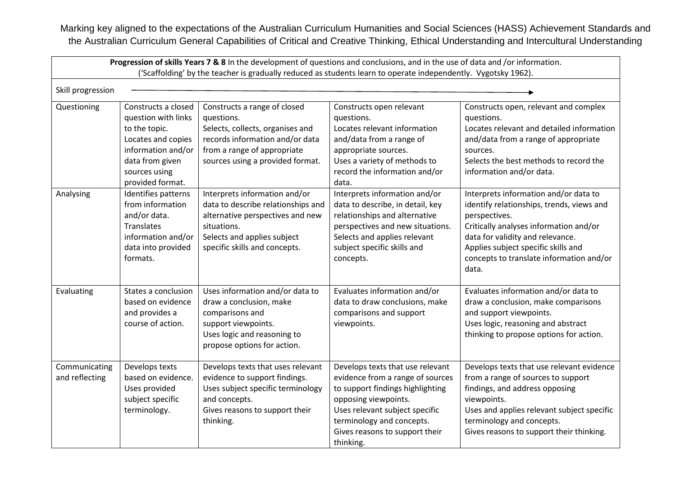Marking key aligned to the expectations of the Australian Curriculum Humanities and Social Sciences (HASS) Achievement Standards and the Australian Curriculum General Capabilities of Critical and Creative Thinking, Ethical Understanding and Intercultural Understanding

| Progression of skills Years 7 & 8 In the development of questions and conclusions, and in the use of data and /or information.<br>('Scaffolding' by the teacher is gradually reduced as students learn to operate independently. Vygotsky 1962). |                                                                                                                                                                 |                                                                                                                                                                                        |                                                                                                                                                                                                                                                |                                                                                                                                                                                                                                                                               |  |  |  |
|--------------------------------------------------------------------------------------------------------------------------------------------------------------------------------------------------------------------------------------------------|-----------------------------------------------------------------------------------------------------------------------------------------------------------------|----------------------------------------------------------------------------------------------------------------------------------------------------------------------------------------|------------------------------------------------------------------------------------------------------------------------------------------------------------------------------------------------------------------------------------------------|-------------------------------------------------------------------------------------------------------------------------------------------------------------------------------------------------------------------------------------------------------------------------------|--|--|--|
| Skill progression                                                                                                                                                                                                                                |                                                                                                                                                                 |                                                                                                                                                                                        |                                                                                                                                                                                                                                                |                                                                                                                                                                                                                                                                               |  |  |  |
| Questioning                                                                                                                                                                                                                                      | Constructs a closed<br>question with links<br>to the topic.<br>Locates and copies<br>information and/or<br>data from given<br>sources using<br>provided format. | Constructs a range of closed<br>questions.<br>Selects, collects, organises and<br>records information and/or data<br>from a range of appropriate<br>sources using a provided format.   | Constructs open relevant<br>questions.<br>Locates relevant information<br>and/data from a range of<br>appropriate sources.<br>Uses a variety of methods to<br>record the information and/or<br>data.                                           | Constructs open, relevant and complex<br>questions.<br>Locates relevant and detailed information<br>and/data from a range of appropriate<br>sources.<br>Selects the best methods to record the<br>information and/or data.                                                    |  |  |  |
| Analysing                                                                                                                                                                                                                                        | Identifies patterns<br>from information<br>and/or data.<br>Translates<br>information and/or<br>data into provided<br>formats.                                   | Interprets information and/or<br>data to describe relationships and<br>alternative perspectives and new<br>situations.<br>Selects and applies subject<br>specific skills and concepts. | Interprets information and/or<br>data to describe, in detail, key<br>relationships and alternative<br>perspectives and new situations.<br>Selects and applies relevant<br>subject specific skills and<br>concepts.                             | Interprets information and/or data to<br>identify relationships, trends, views and<br>perspectives.<br>Critically analyses information and/or<br>data for validity and relevance.<br>Applies subject specific skills and<br>concepts to translate information and/or<br>data. |  |  |  |
| Evaluating                                                                                                                                                                                                                                       | States a conclusion<br>based on evidence<br>and provides a<br>course of action.                                                                                 | Uses information and/or data to<br>draw a conclusion, make<br>comparisons and<br>support viewpoints.<br>Uses logic and reasoning to<br>propose options for action.                     | Evaluates information and/or<br>data to draw conclusions, make<br>comparisons and support<br>viewpoints.                                                                                                                                       | Evaluates information and/or data to<br>draw a conclusion, make comparisons<br>and support viewpoints.<br>Uses logic, reasoning and abstract<br>thinking to propose options for action.                                                                                       |  |  |  |
| Communicating<br>and reflecting                                                                                                                                                                                                                  | Develops texts<br>based on evidence.<br>Uses provided<br>subject specific<br>terminology.                                                                       | Develops texts that uses relevant<br>evidence to support findings.<br>Uses subject specific terminology<br>and concepts.<br>Gives reasons to support their<br>thinking.                | Develops texts that use relevant<br>evidence from a range of sources<br>to support findings highlighting<br>opposing viewpoints.<br>Uses relevant subject specific<br>terminology and concepts.<br>Gives reasons to support their<br>thinking. | Develops texts that use relevant evidence<br>from a range of sources to support<br>findings, and address opposing<br>viewpoints.<br>Uses and applies relevant subject specific<br>terminology and concepts.<br>Gives reasons to support their thinking.                       |  |  |  |